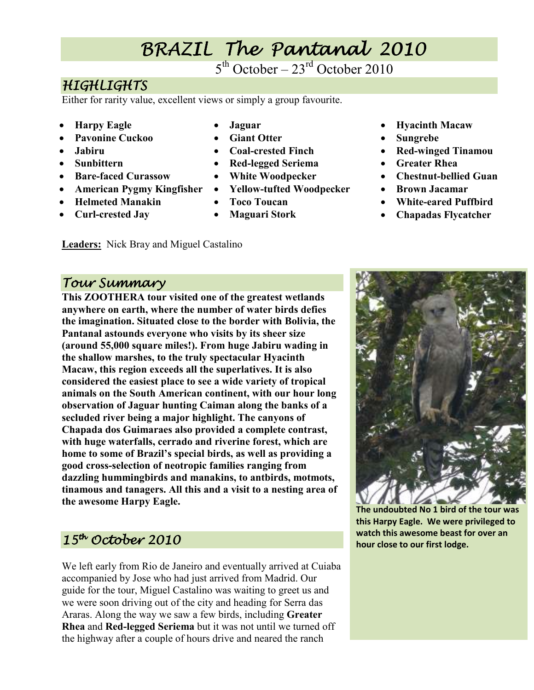## BRAZIL The Pantanal 2010

 $5<sup>th</sup> October - 23<sup>rd</sup> October 2010$ 

## **HIGHLIGHTS**

Either for rarity value, excellent views or simply a group favourite.

- **Harpy Eagle**
- **Pavonine Cuckoo**
- **Jabiru**
- **Sunbittern**
- **Bare-faced Curassow**
- **American Pygmy Kingfisher**

**Leaders:** Nick Bray and Miguel Castalino

- **Helmeted Manakin**
- **Curl-crested Jay**
- **Jaguar**
- **Giant Otter**
- **Coal-crested Finch**
- **Red-legged Seriema**
- **White Woodpecker**
- **Yellow-tufted Woodpecker**
- **Toco Toucan**
- **Maguari Stork**
- **Hyacinth Macaw**  • **Sungrebe**
- **Red-winged Tinamou**
- **Greater Rhea**
- **Chestnut-bellied Guan**
- **Brown Jacamar**
- **White-eared Puffbird**
- **Chapadas Flycatcher**

### Tour Summary

**This ZOOTHERA tour visited one of the greatest wetlands anywhere on earth, where the number of water birds defies the imagination. Situated close to the border with Bolivia, the Pantanal astounds everyone who visits by its sheer size (around 55,000 square miles!). From huge Jabiru wading in the shallow marshes, to the truly spectacular Hyacinth Macaw, this region exceeds all the superlatives. It is also considered the easiest place to see a wide variety of tropical animals on the South American continent, with our hour long observation of Jaguar hunting Caiman along the banks of a secluded river being a major highlight. The canyons of Chapada dos Guimaraes also provided a complete contrast, with huge waterfalls, cerrado and riverine forest, which are home to some of Brazil's special birds, as well as providing a good cross-selection of neotropic families ranging from dazzling hummingbirds and manakins, to antbirds, motmots, tinamous and tanagers. All this and a visit to a nesting area of the awesome Harpy Eagle.** 

## $15<sup>th</sup>$  October 2010

We left early from Rio de Janeiro and eventually arrived at Cuiaba accompanied by Jose who had just arrived from Madrid. Our guide for the tour, Miguel Castalino was waiting to greet us and we were soon driving out of the city and heading for Serra das Araras. Along the way we saw a few birds, including **Greater Rhea** and **Red-legged Seriema** but it was not until we turned off the highway after a couple of hours drive and neared the ranch



**The undoubted No 1 bird of the tour was this Harpy Eagle. We were privileged to watch this awesome beast for over an hour close to our first lodge.**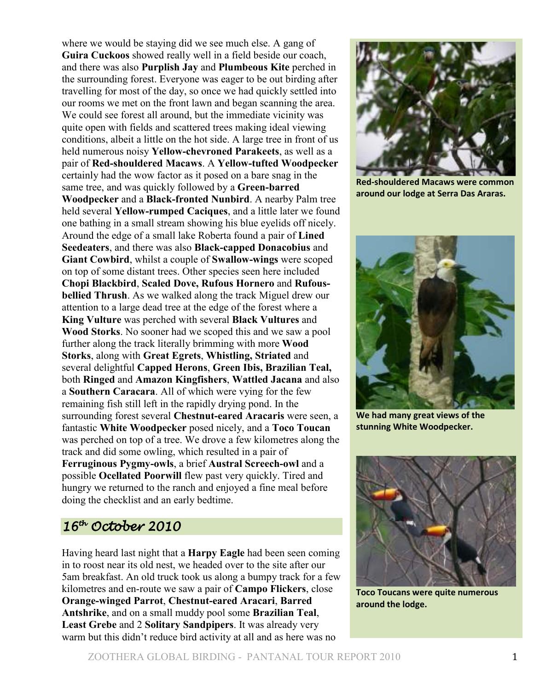where we would be staying did we see much else. A gang of **Guira Cuckoos** showed really well in a field beside our coach, and there was also **Purplish Jay** and **Plumbeous Kite** perched in the surrounding forest. Everyone was eager to be out birding after travelling for most of the day, so once we had quickly settled into our rooms we met on the front lawn and began scanning the area. We could see forest all around, but the immediate vicinity was quite open with fields and scattered trees making ideal viewing conditions, albeit a little on the hot side. A large tree in front of us held numerous noisy **Yellow-chevroned Parakeets**, as well as a pair of **Red-shouldered Macaws**. A **Yellow-tufted Woodpecker** certainly had the wow factor as it posed on a bare snag in the same tree, and was quickly followed by a **Green-barred Woodpecker** and a **Black-fronted Nunbird**. A nearby Palm tree held several **Yellow-rumped Caciques**, and a little later we found one bathing in a small stream showing his blue eyelids off nicely. Around the edge of a small lake Roberta found a pair of **Lined Seedeaters**, and there was also **Black-capped Donacobius** and **Giant Cowbird**, whilst a couple of **Swallow-wings** were scoped on top of some distant trees. Other species seen here included **Chopi Blackbird**, **Scaled Dove, Rufous Hornero** and **Rufousbellied Thrush**. As we walked along the track Miguel drew our attention to a large dead tree at the edge of the forest where a **King Vulture** was perched with several **Black Vultures** and **Wood Storks**. No sooner had we scoped this and we saw a pool further along the track literally brimming with more **Wood Storks**, along with **Great Egrets**, **Whistling, Striated** and several delightful **Capped Herons**, **Green Ibis, Brazilian Teal,**  both **Ringed** and **Amazon Kingfishers**, **Wattled Jacana** and also a **Southern Caracara**. All of which were vying for the few remaining fish still left in the rapidly drying pond. In the surrounding forest several **Chestnut-eared Aracaris** were seen, a fantastic **White Woodpecker** posed nicely, and a **Toco Toucan** was perched on top of a tree. We drove a few kilometres along the track and did some owling, which resulted in a pair of **Ferruginous Pygmy-owls**, a brief **Austral Screech-owl** and a possible **Ocellated Poorwill** flew past very quickly. Tired and hungry we returned to the ranch and enjoyed a fine meal before doing the checklist and an early bedtime.

#### $16^{th}$  October 2010

Having heard last night that a **Harpy Eagle** had been seen coming in to roost near its old nest, we headed over to the site after our 5am breakfast. An old truck took us along a bumpy track for a few kilometres and en-route we saw a pair of **Campo Flickers**, close **Orange-winged Parrot**, **Chestnut-eared Aracari**, **Barred Antshrike**, and on a small muddy pool some **Brazilian Teal**, **Least Grebe** and 2 **Solitary Sandpipers**. It was already very warm but this didn't reduce bird activity at all and as here was no



**Red-shouldered Macaws were common around our lodge at Serra Das Araras.** 



**We had many great views of the stunning White Woodpecker.** 



**Toco Toucans were quite numerous around the lodge.**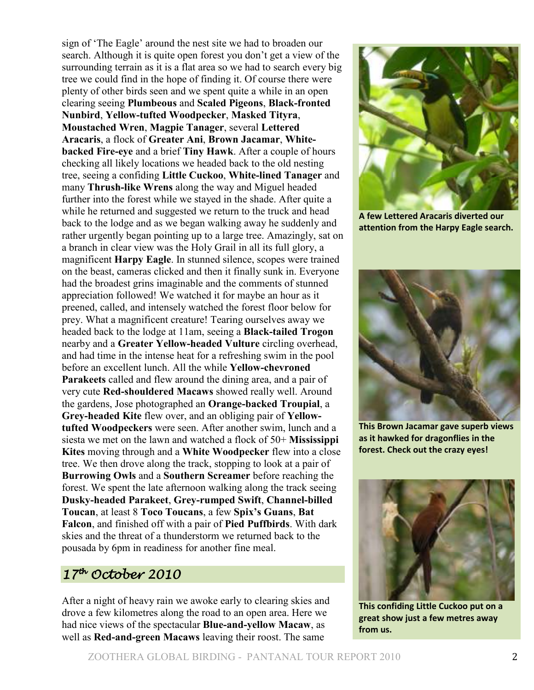sign of 'The Eagle' around the nest site we had to broaden our search. Although it is quite open forest you don't get a view of the surrounding terrain as it is a flat area so we had to search every big tree we could find in the hope of finding it. Of course there were plenty of other birds seen and we spent quite a while in an open clearing seeing **Plumbeous** and **Scaled Pigeons**, **Black-fronted Nunbird**, **Yellow-tufted Woodpecker**, **Masked Tityra**, **Moustached Wren**, **Magpie Tanager**, several **Lettered Aracaris**, a flock of **Greater Ani**, **Brown Jacamar**, **Whitebacked Fire-eye** and a brief **Tiny Hawk**. After a couple of hours checking all likely locations we headed back to the old nesting tree, seeing a confiding **Little Cuckoo**, **White-lined Tanager** and many **Thrush-like Wrens** along the way and Miguel headed further into the forest while we stayed in the shade. After quite a while he returned and suggested we return to the truck and head back to the lodge and as we began walking away he suddenly and rather urgently began pointing up to a large tree. Amazingly, sat on a branch in clear view was the Holy Grail in all its full glory, a magnificent **Harpy Eagle**. In stunned silence, scopes were trained on the beast, cameras clicked and then it finally sunk in. Everyone had the broadest grins imaginable and the comments of stunned appreciation followed! We watched it for maybe an hour as it preened, called, and intensely watched the forest floor below for prey. What a magnificent creature! Tearing ourselves away we headed back to the lodge at 11am, seeing a **Black-tailed Trogon** nearby and a **Greater Yellow-headed Vulture** circling overhead, and had time in the intense heat for a refreshing swim in the pool before an excellent lunch. All the while **Yellow-chevroned Parakeets** called and flew around the dining area, and a pair of very cute **Red-shouldered Macaws** showed really well. Around the gardens, Jose photographed an **Orange-backed Troupial**, a **Grey-headed Kite** flew over, and an obliging pair of **Yellowtufted Woodpeckers** were seen. After another swim, lunch and a siesta we met on the lawn and watched a flock of 50+ **Mississippi Kites** moving through and a **White Woodpecker** flew into a close tree. We then drove along the track, stopping to look at a pair of **Burrowing Owls** and a **Southern Screamer** before reaching the forest. We spent the late afternoon walking along the track seeing **Dusky-headed Parakeet**, **Grey-rumped Swift**, **Channel-billed Toucan**, at least 8 **Toco Toucans**, a few **Spix's Guans**, **Bat Falcon**, and finished off with a pair of **Pied Puffbirds**. With dark skies and the threat of a thunderstorm we returned back to the pousada by 6pm in readiness for another fine meal.

### $17<sup>th</sup>$  October 2010

After a night of heavy rain we awoke early to clearing skies and drove a few kilometres along the road to an open area. Here we had nice views of the spectacular **Blue-and-yellow Macaw**, as well as **Red-and-green Macaws** leaving their roost. The same



**A few Lettered Aracaris diverted our attention from the Harpy Eagle search.** 



**This Brown Jacamar gave superb views as it hawked for dragonflies in the forest. Check out the crazy eyes!**



**This confiding Little Cuckoo put on a great show just a few metres away from us.**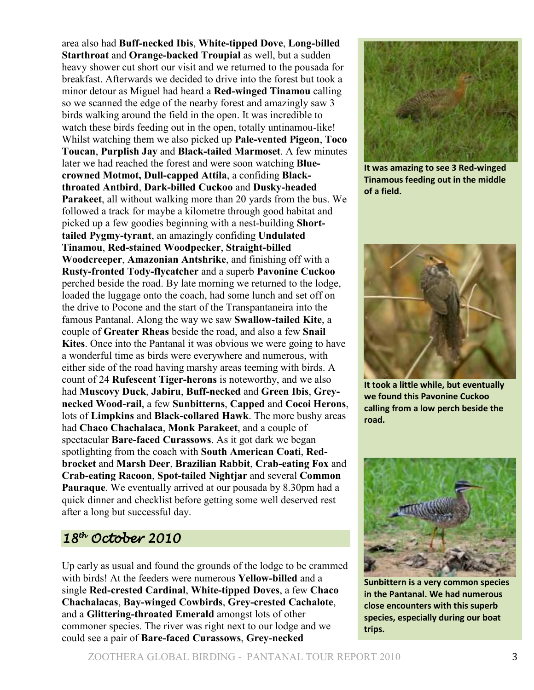area also had **Buff-necked Ibis**, **White-tipped Dove**, **Long-billed Starthroat** and **Orange-backed Troupial** as well, but a sudden heavy shower cut short our visit and we returned to the pousada for breakfast. Afterwards we decided to drive into the forest but took a minor detour as Miguel had heard a **Red-winged Tinamou** calling so we scanned the edge of the nearby forest and amazingly saw 3 birds walking around the field in the open. It was incredible to watch these birds feeding out in the open, totally untinamou-like! Whilst watching them we also picked up **Pale-vented Pigeon**, **Toco Toucan**, **Purplish Jay** and **Black-tailed Marmoset**. A few minutes later we had reached the forest and were soon watching **Bluecrowned Motmot, Dull-capped Attila**, a confiding **Blackthroated Antbird**, **Dark-billed Cuckoo** and **Dusky-headed Parakeet**, all without walking more than 20 yards from the bus. We followed a track for maybe a kilometre through good habitat and picked up a few goodies beginning with a nest-building **Shorttailed Pygmy-tyrant**, an amazingly confiding **Undulated Tinamou**, **Red-stained Woodpecker**, **Straight-billed Woodcreeper**, **Amazonian Antshrike**, and finishing off with a **Rusty-fronted Tody-flycatcher** and a superb **Pavonine Cuckoo** perched beside the road. By late morning we returned to the lodge, loaded the luggage onto the coach, had some lunch and set off on the drive to Pocone and the start of the Transpantaneira into the famous Pantanal. Along the way we saw **Swallow-tailed Kite**, a couple of **Greater Rheas** beside the road, and also a few **Snail Kites**. Once into the Pantanal it was obvious we were going to have a wonderful time as birds were everywhere and numerous, with either side of the road having marshy areas teeming with birds. A count of 24 **Rufescent Tiger-herons** is noteworthy, and we also had **Muscovy Duck**, **Jabiru**, **Buff-necked** and **Green Ibis**, **Greynecked Wood-rail**, a few **Sunbitterns**, **Capped** and **Cocoi Herons**, lots of **Limpkins** and **Black-collared Hawk**. The more bushy areas had **Chaco Chachalaca**, **Monk Parakeet**, and a couple of spectacular **Bare-faced Curassows**. As it got dark we began spotlighting from the coach with **South American Coati**, **Redbrocket** and **Marsh Deer**, **Brazilian Rabbit**, **Crab-eating Fox** and **Crab-eating Racoon**, **Spot-tailed Nightjar** and several **Common Pauraque**. We eventually arrived at our pousada by 8.30pm had a quick dinner and checklist before getting some well deserved rest after a long but successful day.

#### $18^{th}$  October 2010

Up early as usual and found the grounds of the lodge to be crammed with birds! At the feeders were numerous **Yellow-billed** and a single **Red-crested Cardinal**, **White-tipped Doves**, a few **Chaco Chachalacas**, **Bay-winged Cowbirds**, **Grey-crested Cachalote**, and a **Glittering-throated Emerald** amongst lots of other commoner species. The river was right next to our lodge and we could see a pair of **Bare-faced Curassows**, **Grey-necked** 



**It was amazing to see 3 Red-winged Tinamous feeding out in the middle of a field.** 



**It took a little while, but eventually we found this Pavonine Cuckoo calling from a low perch beside the road.** 



**Sunbittern is a very common species in the Pantanal. We had numerous close encounters with this superb species, especially during our boat trips.**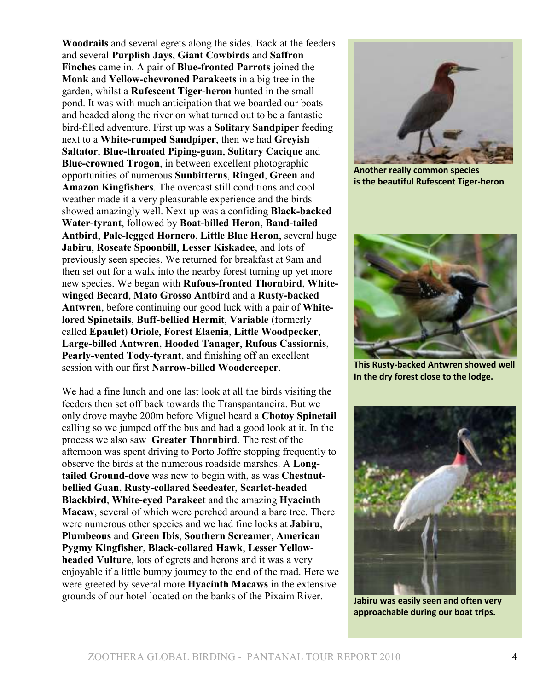**Woodrails** and several egrets along the sides. Back at the feeders and several **Purplish Jays**, **Giant Cowbirds** and **Saffron Finches** came in. A pair of **Blue-fronted Parrots** joined the **Monk** and **Yellow-chevroned Parakeets** in a big tree in the garden, whilst a **Rufescent Tiger-heron** hunted in the small pond. It was with much anticipation that we boarded our boats and headed along the river on what turned out to be a fantastic bird-filled adventure. First up was a **Solitary Sandpiper** feeding next to a **White-rumped Sandpiper**, then we had **Greyish Saltator**, **Blue-throated Piping-guan**, **Solitary Cacique** and **Blue-crowned Trogon**, in between excellent photographic opportunities of numerous **Sunbitterns**, **Ringed**, **Green** and **Amazon Kingfishers**. The overcast still conditions and cool weather made it a very pleasurable experience and the birds showed amazingly well. Next up was a confiding **Black-backed Water-tyrant**, followed by **Boat-billed Heron**, **Band-tailed Antbird**, **Pale-legged Hornero**, **Little Blue Heron**, several huge **Jabiru**, **Roseate Spoonbill**, **Lesser Kiskadee**, and lots of previously seen species. We returned for breakfast at 9am and then set out for a walk into the nearby forest turning up yet more new species. We began with **Rufous-fronted Thornbird**, **Whitewinged Becard**, **Mato Grosso Antbird** and a **Rusty-backed Antwren**, before continuing our good luck with a pair of **Whitelored Spinetails**, **Buff-bellied Hermit**, **Variable** (formerly called **Epaulet**) **Oriole**, **Forest Elaenia**, **Little Woodpecker**, **Large-billed Antwren**, **Hooded Tanager**, **Rufous Cassiornis**, **Pearly-vented Tody-tyrant**, and finishing off an excellent session with our first **Narrow-billed Woodcreeper**.

We had a fine lunch and one last look at all the birds visiting the feeders then set off back towards the Transpantaneira. But we only drove maybe 200m before Miguel heard a **Chotoy Spinetail** calling so we jumped off the bus and had a good look at it. In the process we also saw **Greater Thornbird**. The rest of the afternoon was spent driving to Porto Joffre stopping frequently to observe the birds at the numerous roadside marshes. A **Longtailed Ground-dove** was new to begin with, as was **Chestnutbellied Guan**, **Rusty-collared Seedeate**r, **Scarlet-headed Blackbird**, **White-eyed Parakeet** and the amazing **Hyacinth Macaw**, several of which were perched around a bare tree. There were numerous other species and we had fine looks at **Jabiru**, **Plumbeous** and **Green Ibis**, **Southern Screamer**, **American Pygmy Kingfisher**, **Black-collared Hawk**, **Lesser Yellowheaded Vulture**, lots of egrets and herons and it was a very enjoyable if a little bumpy journey to the end of the road. Here we were greeted by several more **Hyacinth Macaws** in the extensive grounds of our hotel located on the banks of the Pixaim River.



**Another really common species is the beautiful Rufescent Tiger-heron** 



**This Rusty-backed Antwren showed well In the dry forest close to the lodge.** 



**Jabiru was easily seen and often very approachable during our boat trips.**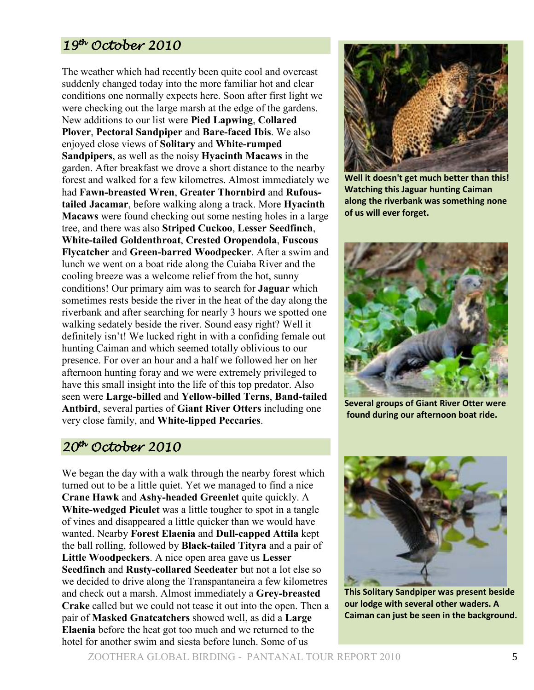## $19^{th}$  October 2010

The weather which had recently been quite cool and overcast suddenly changed today into the more familiar hot and clear conditions one normally expects here. Soon after first light we were checking out the large marsh at the edge of the gardens. New additions to our list were **Pied Lapwing**, **Collared Plover**, **Pectoral Sandpiper** and **Bare-faced Ibis**. We also enjoyed close views of **Solitary** and **White-rumped Sandpipers**, as well as the noisy **Hyacinth Macaws** in the garden. After breakfast we drove a short distance to the nearby forest and walked for a few kilometres. Almost immediately we had **Fawn-breasted Wren**, **Greater Thornbird** and **Rufoustailed Jacamar**, before walking along a track. More **Hyacinth Macaws** were found checking out some nesting holes in a large tree, and there was also **Striped Cuckoo**, **Lesser Seedfinch**, **White-tailed Goldenthroat**, **Crested Oropendola**, **Fuscous Flycatcher** and **Green-barred Woodpecker**. After a swim and lunch we went on a boat ride along the Cuiaba River and the cooling breeze was a welcome relief from the hot, sunny conditions! Our primary aim was to search for **Jaguar** which sometimes rests beside the river in the heat of the day along the riverbank and after searching for nearly 3 hours we spotted one walking sedately beside the river. Sound easy right? Well it definitely isn't! We lucked right in with a confiding female out hunting Caiman and which seemed totally oblivious to our presence. For over an hour and a half we followed her on her afternoon hunting foray and we were extremely privileged to have this small insight into the life of this top predator. Also seen were **Large-billed** and **Yellow-billed Terns**, **Band-tailed Antbird**, several parties of **Giant River Otters** including one very close family, and **White-lipped Peccaries**.

#### 20th October October 2010

We began the day with a walk through the nearby forest which turned out to be a little quiet. Yet we managed to find a nice **Crane Hawk** and **Ashy-headed Greenlet** quite quickly. A **White-wedged Piculet** was a little tougher to spot in a tangle of vines and disappeared a little quicker than we would have wanted. Nearby **Forest Elaenia** and **Dull-capped Attila** kept the ball rolling, followed by **Black-tailed Tityra** and a pair of **Little Woodpeckers**. A nice open area gave us **Lesser Seedfinch** and **Rusty-collared Seedeater** but not a lot else so we decided to drive along the Transpantaneira a few kilometres and check out a marsh. Almost immediately a **Grey-breasted Crake** called but we could not tease it out into the open. Then a pair of **Masked Gnatcatchers** showed well, as did a **Large Elaenia** before the heat got too much and we returned to the hotel for another swim and siesta before lunch. Some of us



**Well it doesn't get much better than this! Watching this Jaguar hunting Caiman along the riverbank was something none of us will ever forget.**



**Several groups of Giant River Otter were found during our afternoon boat ride.** 

**This Solitary Sandpiper was present beside our lodge with several other waders. A Caiman can just be seen in the background.**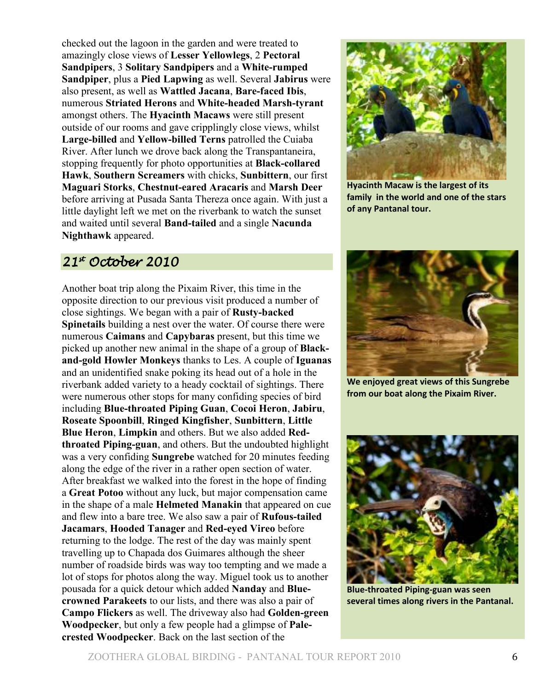checked out the lagoon in the garden and were treated to amazingly close views of **Lesser Yellowlegs**, 2 **Pectoral Sandpipers**, 3 **Solitary Sandpipers** and a **White-rumped Sandpiper**, plus a **Pied Lapwing** as well. Several **Jabirus** were also present, as well as **Wattled Jacana**, **Bare-faced Ibis**, numerous **Striated Herons** and **White-headed Marsh-tyrant** amongst others. The **Hyacinth Macaws** were still present outside of our rooms and gave cripplingly close views, whilst **Large-billed** and **Yellow-billed Terns** patrolled the Cuiaba River. After lunch we drove back along the Transpantaneira, stopping frequently for photo opportunities at **Black-collared Hawk**, **Southern Screamers** with chicks, **Sunbittern**, our first **Maguari Storks**, **Chestnut-eared Aracaris** and **Marsh Deer** before arriving at Pusada Santa Thereza once again. With just a little daylight left we met on the riverbank to watch the sunset and waited until several **Band-tailed** and a single **Nacunda Nighthawk** appeared.

## $21<sup>*</sup>$  October 2010

Another boat trip along the Pixaim River, this time in the opposite direction to our previous visit produced a number of close sightings. We began with a pair of **Rusty-backed Spinetails** building a nest over the water. Of course there were numerous **Caimans** and **Capybaras** present, but this time we picked up another new animal in the shape of a group of **Blackand-gold Howler Monkeys** thanks to Les. A couple of **Iguanas** and an unidentified snake poking its head out of a hole in the riverbank added variety to a heady cocktail of sightings. There were numerous other stops for many confiding species of bird including **Blue-throated Piping Guan**, **Cocoi Heron**, **Jabiru**, **Roseate Spoonbill**, **Ringed Kingfisher**, **Sunbittern**, **Little Blue Heron**, **Limpkin** and others. But we also added **Redthroated Piping-guan**, and others. But the undoubted highlight was a very confiding **Sungrebe** watched for 20 minutes feeding along the edge of the river in a rather open section of water. After breakfast we walked into the forest in the hope of finding a **Great Potoo** without any luck, but major compensation came in the shape of a male **Helmeted Manakin** that appeared on cue and flew into a bare tree. We also saw a pair of **Rufous-tailed Jacamars**, **Hooded Tanager** and **Red-eyed Vireo** before returning to the lodge. The rest of the day was mainly spent travelling up to Chapada dos Guimares although the sheer number of roadside birds was way too tempting and we made a lot of stops for photos along the way. Miguel took us to another pousada for a quick detour which added **Nanday** and **Bluecrowned Parakeets** to our lists, and there was also a pair of **Campo Flickers** as well. The driveway also had **Golden-green Woodpecker**, but only a few people had a glimpse of **Palecrested Woodpecker**. Back on the last section of the



**Hyacinth Macaw is the largest of its family in the world and one of the stars of any Pantanal tour.** 



**We enjoyed great views of this Sungrebe from our boat along the Pixaim River.** 



**Blue-throated Piping-guan was seen several times along rivers in the Pantanal.**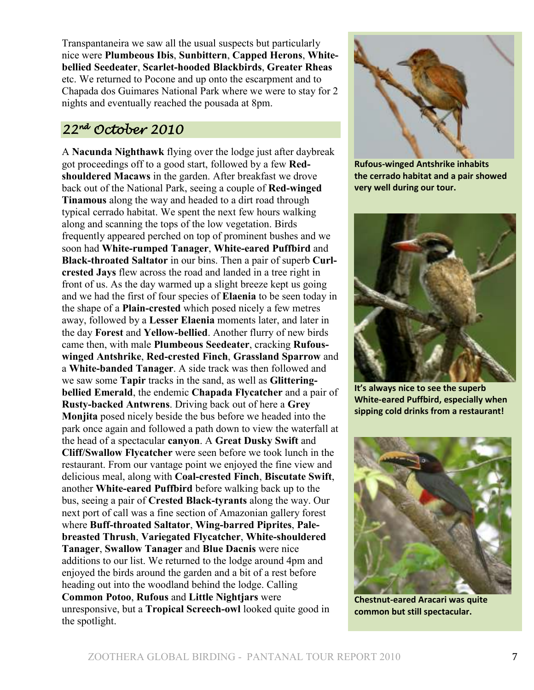Transpantaneira we saw all the usual suspects but particularly nice were **Plumbeous Ibis**, **Sunbittern**, **Capped Herons**, **Whitebellied Seedeater**, **Scarlet-hooded Blackbirds**, **Greater Rheas** etc. We returned to Pocone and up onto the escarpment and to Chapada dos Guimares National Park where we were to stay for 2 nights and eventually reached the pousada at 8pm.

### 22nd October October 2010

A **Nacunda Nighthawk** flying over the lodge just after daybreak got proceedings off to a good start, followed by a few **Redshouldered Macaws** in the garden. After breakfast we drove back out of the National Park, seeing a couple of **Red-winged Tinamous** along the way and headed to a dirt road through typical cerrado habitat. We spent the next few hours walking along and scanning the tops of the low vegetation. Birds frequently appeared perched on top of prominent bushes and we soon had **White-rumped Tanager**, **White-eared Puffbird** and **Black-throated Saltator** in our bins. Then a pair of superb **Curlcrested Jays** flew across the road and landed in a tree right in front of us. As the day warmed up a slight breeze kept us going and we had the first of four species of **Elaenia** to be seen today in the shape of a **Plain-crested** which posed nicely a few metres away, followed by a **Lesser Elaenia** moments later, and later in the day **Forest** and **Yellow-bellied**. Another flurry of new birds came then, with male **Plumbeous Seedeater**, cracking **Rufouswinged Antshrike**, **Red-crested Finch**, **Grassland Sparrow** and a **White-banded Tanager**. A side track was then followed and we saw some **Tapir** tracks in the sand, as well as **Glitteringbellied Emerald**, the endemic **Chapada Flycatcher** and a pair of **Rusty-backed Antwrens**. Driving back out of here a **Grey Monjita** posed nicely beside the bus before we headed into the park once again and followed a path down to view the waterfall at the head of a spectacular **canyon**. A **Great Dusky Swift** and **Cliff/Swallow Flycatcher** were seen before we took lunch in the restaurant. From our vantage point we enjoyed the fine view and delicious meal, along with **Coal-crested Finch**, **Biscutate Swift**, another **White-eared Puffbird** before walking back up to the bus, seeing a pair of **Crested Black-tyrants** along the way. Our next port of call was a fine section of Amazonian gallery forest where **Buff-throated Saltator**, **Wing-barred Piprites**, **Palebreasted Thrush**, **Variegated Flycatcher**, **White-shouldered Tanager**, **Swallow Tanager** and **Blue Dacnis** were nice additions to our list. We returned to the lodge around 4pm and enjoyed the birds around the garden and a bit of a rest before heading out into the woodland behind the lodge. Calling **Common Potoo**, **Rufous** and **Little Nightjars** were unresponsive, but a **Tropical Screech-owl** looked quite good in the spotlight.



**Rufous-winged Antshrike inhabits the cerrado habitat and a pair showed very well during our tour.**



**It's always nice to see the superb White-eared Puffbird, especially when sipping cold drinks from a restaurant!** 



**Chestnut-eared Aracari was quite common but still spectacular.**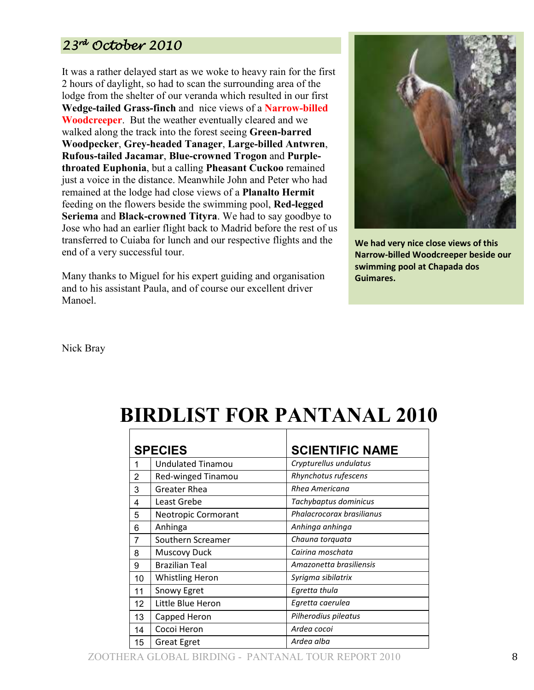## 23rd October 2010

It was a rather delayed start as we woke to heavy rain for the first 2 hours of daylight, so had to scan the surrounding area of the lodge from the shelter of our veranda which resulted in our first **Wedge-tailed Grass-finch** and nice views of a **Narrow-billed Woodcreeper**. But the weather eventually cleared and we walked along the track into the forest seeing **Green-barred Woodpecker**, **Grey-headed Tanager**, **Large-billed Antwren**, **Rufous-tailed Jacamar**, **Blue-crowned Trogon** and **Purplethroated Euphonia**, but a calling **Pheasant Cuckoo** remained just a voice in the distance. Meanwhile John and Peter who had remained at the lodge had close views of a **Planalto Hermit** feeding on the flowers beside the swimming pool, **Red-legged Seriema** and **Black-crowned Tityra**. We had to say goodbye to Jose who had an earlier flight back to Madrid before the rest of us transferred to Cuiaba for lunch and our respective flights and the end of a very successful tour.

Many thanks to Miguel for his expert guiding and organisation and to his assistant Paula, and of course our excellent driver Manoel.



**We had very nice close views of this Narrow-billed Woodcreeper beside our swimming pool at Chapada dos Guimares.** 

Nick Bray

# **BIRDLIST FOR PANTANAL 2010**

| <b>SPECIES</b> |                          | <b>SCIENTIFIC NAME</b>    |
|----------------|--------------------------|---------------------------|
|                | <b>Undulated Tinamou</b> | Crypturellus undulatus    |
| 2              | Red-winged Tinamou       | Rhynchotus rufescens      |
| 3              | <b>Greater Rhea</b>      | Rhea Americana            |
| 4              | Least Grebe              | Tachybaptus dominicus     |
| 5              | Neotropic Cormorant      | Phalacrocorax brasilianus |
| 6              | Anhinga                  | Anhinga anhinga           |
| 7              | Southern Screamer        | Chauna torquata           |
| 8              | <b>Muscovy Duck</b>      | Cairina moschata          |
| 9              | <b>Brazilian Teal</b>    | Amazonetta brasiliensis   |
| 10             | <b>Whistling Heron</b>   | Syrigma sibilatrix        |
| 11             | Snowy Egret              | Egretta thula             |
| 12             | Little Blue Heron        | Egretta caerulea          |
| 13             | Capped Heron             | Pilherodius pileatus      |
| 14             | Cocoi Heron              | Ardea cocoi               |
| 15             | <b>Great Egret</b>       | Ardea alba                |

ZOOTHERA GLOBAL BIRDING - PANTANAL TOUR REPORT 2010 8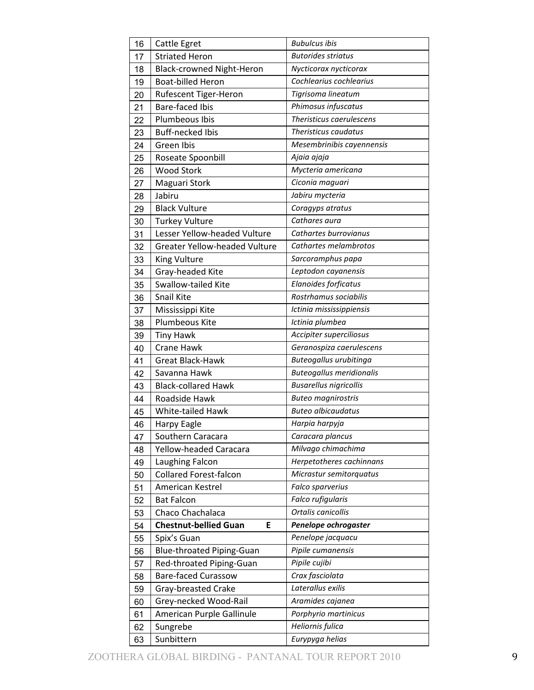| 16 | Cattle Egret                         | <b>Bubulcus ibis</b>            |
|----|--------------------------------------|---------------------------------|
| 17 | <b>Striated Heron</b>                | <b>Butorides striatus</b>       |
| 18 | <b>Black-crowned Night-Heron</b>     | Nycticorax nycticorax           |
| 19 | <b>Boat-billed Heron</b>             | Cochlearius cochlearius         |
| 20 | Rufescent Tiger-Heron                | Tigrisoma lineatum              |
| 21 | <b>Bare-faced Ibis</b>               | Phimosus infuscatus             |
| 22 | Plumbeous Ibis                       | Theristicus caerulescens        |
| 23 | <b>Buff-necked Ibis</b>              | Theristicus caudatus            |
| 24 | Green Ibis                           | Mesembrinibis cayennensis       |
| 25 | Roseate Spoonbill                    | Ajaia ajaja                     |
| 26 | <b>Wood Stork</b>                    | Mycteria americana              |
| 27 | Maguari Stork                        | Ciconia maguari                 |
| 28 | Jabiru                               | Jabiru mycteria                 |
| 29 | <b>Black Vulture</b>                 | Coragyps atratus                |
| 30 | <b>Turkey Vulture</b>                | Cathares aura                   |
| 31 | Lesser Yellow-headed Vulture         | Cathartes burrovianus           |
| 32 | <b>Greater Yellow-headed Vulture</b> | Cathartes melambrotos           |
| 33 | King Vulture                         | Sarcoramphus papa               |
| 34 | Gray-headed Kite                     | Leptodon cayanensis             |
| 35 | <b>Swallow-tailed Kite</b>           | Elanoides forficatus            |
| 36 | Snail Kite                           | Rostrhamus sociabilis           |
| 37 | Mississippi Kite                     | Ictinia mississippiensis        |
| 38 | Plumbeous Kite                       | Ictinia plumbea                 |
| 39 | <b>Tiny Hawk</b>                     | Accipiter superciliosus         |
| 40 | <b>Crane Hawk</b>                    | Geranospiza caerulescens        |
| 41 | <b>Great Black-Hawk</b>              | Buteogallus urubitinga          |
| 42 | Savanna Hawk                         | <b>Buteogallus meridionalis</b> |
| 43 | <b>Black-collared Hawk</b>           | <b>Busarellus nigricollis</b>   |
| 44 | Roadside Hawk                        | <b>Buteo magnirostris</b>       |
| 45 | White-tailed Hawk                    | <b>Buteo albicaudatus</b>       |
| 46 | Harpy Eagle                          | Harpia harpyja                  |
| 47 | Southern Caracara                    | Caracara plancus                |
| 48 | Yellow-headed Caracara               | Milvago chimachima              |
| 49 | Laughing Falcon                      | Herpetotheres cachinnans        |
| 50 | <b>Collared Forest-falcon</b>        | Micrastur semitorquatus         |
| 51 | American Kestrel                     | Falco sparverius                |
| 52 | <b>Bat Falcon</b>                    | Falco rufigularis               |
| 53 | Chaco Chachalaca                     | Ortalis canicollis              |
| 54 | <b>Chestnut-bellied Guan</b><br>E    | Penelope ochrogaster            |
| 55 | Spix's Guan                          | Penelope jacquacu               |
| 56 | <b>Blue-throated Piping-Guan</b>     | Pipile cumanensis               |
| 57 | Red-throated Piping-Guan             | Pipile cujibi                   |
| 58 | <b>Bare-faced Curassow</b>           | Crax fasciolata                 |
| 59 | Gray-breasted Crake                  | Laterallus exilis               |
| 60 | Grey-necked Wood-Rail                | Aramides cajanea                |
| 61 | American Purple Gallinule            | Porphyrio martinicus            |
| 62 | Sungrebe                             | Heliornis fulica                |
|    |                                      | Eurypyga helias                 |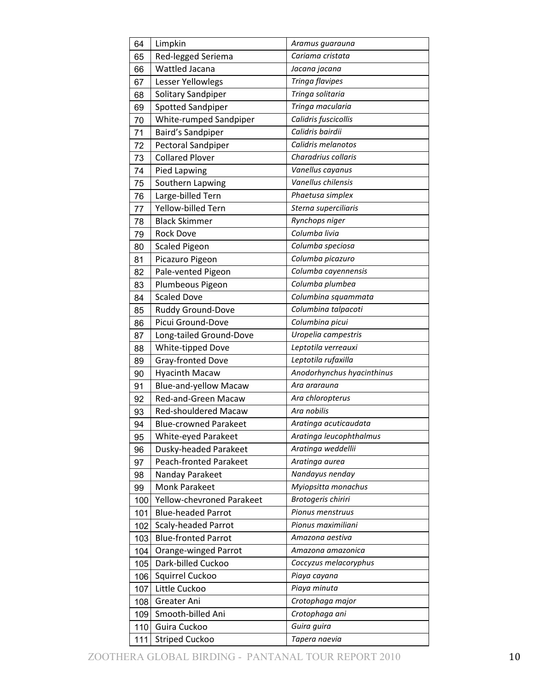| 64  | Limpkin                      | Aramus guarauna            |
|-----|------------------------------|----------------------------|
| 65  | Red-legged Seriema           | Cariama cristata           |
| 66  | Wattled Jacana               | Jacana jacana              |
| 67  | Lesser Yellowlegs            | Tringa flavipes            |
| 68  | Solitary Sandpiper           | Tringa solitaria           |
| 69  | Spotted Sandpiper            | Tringa macularia           |
| 70  | White-rumped Sandpiper       | Calidris fuscicollis       |
| 71  | Baird's Sandpiper            | Calidris bairdii           |
| 72  | Pectoral Sandpiper           | Calidris melanotos         |
| 73  | <b>Collared Plover</b>       | Charadrius collaris        |
| 74  | <b>Pied Lapwing</b>          | Vanellus cayanus           |
| 75  | Southern Lapwing             | Vanellus chilensis         |
| 76  | Large-billed Tern            | Phaetusa simplex           |
| 77  | Yellow-billed Tern           | Sterna superciliaris       |
| 78  | <b>Black Skimmer</b>         | Rynchops niger             |
| 79  | <b>Rock Dove</b>             | Columba livia              |
| 80  | <b>Scaled Pigeon</b>         | Columba speciosa           |
| 81  | Picazuro Pigeon              | Columba picazuro           |
| 82  | Pale-vented Pigeon           | Columba cayennensis        |
| 83  | Plumbeous Pigeon             | Columba plumbea            |
| 84  | <b>Scaled Dove</b>           | Columbina squammata        |
| 85  | Ruddy Ground-Dove            | Columbina talpacoti        |
| 86  | Picui Ground-Dove            | Columbina picui            |
| 87  | Long-tailed Ground-Dove      | Uropelia campestris        |
| 88  | White-tipped Dove            | Leptotila verreauxi        |
| 89  | Gray-fronted Dove            | Leptotila rufaxilla        |
| 90  | <b>Hyacinth Macaw</b>        | Anodorhynchus hyacinthinus |
| 91  | <b>Blue-and-yellow Macaw</b> | Ara ararauna               |
| 92  | Red-and-Green Macaw          | Ara chloropterus           |
| 93  | <b>Red-shouldered Macaw</b>  | Ara nobilis                |
| 94  | <b>Blue-crowned Parakeet</b> | Aratinga acuticaudata      |
| 95  | White-eyed Parakeet          | Aratinga leucophthalmus    |
| 96  | Dusky-headed Parakeet        | Aratinga weddellii         |
| 97  | Peach-fronted Parakeet       | Aratinga aurea             |
| 98  | Nanday Parakeet              | Nandayus nenday            |
| 99  | Monk Parakeet                | Myiopsitta monachus        |
| 100 | Yellow-chevroned Parakeet    | Brotogeris chiriri         |
| 101 | <b>Blue-headed Parrot</b>    | Pionus menstruus           |
| 102 | <b>Scaly-headed Parrot</b>   | Pionus maximiliani         |
| 103 | <b>Blue-fronted Parrot</b>   | Amazona aestiva            |
| 104 | Orange-winged Parrot         | Amazona amazonica          |
| 105 | Dark-billed Cuckoo           | Coccyzus melacoryphus      |
| 106 | Squirrel Cuckoo              | Piaya cayana               |
| 107 | Little Cuckoo                | Piaya minuta               |
| 108 | Greater Ani                  | Crotophaga major           |
| 109 | Smooth-billed Ani            | Crotophaga ani             |
| 110 | Guira Cuckoo                 | Guira guira                |
| 111 | <b>Striped Cuckoo</b>        | Tapera naevia              |
|     |                              |                            |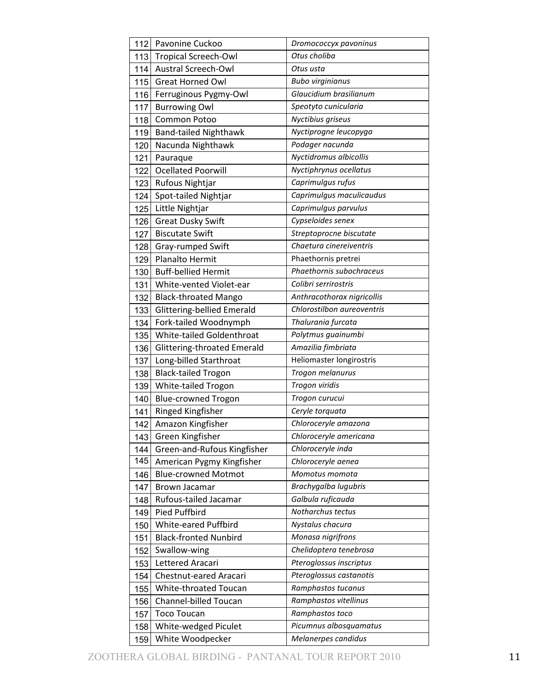| 112 | Pavonine Cuckoo              | Dromococcyx pavoninus      |
|-----|------------------------------|----------------------------|
| 113 | <b>Tropical Screech-Owl</b>  | Otus choliba               |
| 114 | <b>Austral Screech-Owl</b>   | Otus usta                  |
| 115 | Great Horned Owl             | <b>Bubo virginianus</b>    |
| 116 | Ferruginous Pygmy-Owl        | Glaucidium brasilianum     |
| 117 | <b>Burrowing Owl</b>         | Speotyto cunicularia       |
| 118 | <b>Common Potoo</b>          | Nyctibius griseus          |
| 119 | <b>Band-tailed Nighthawk</b> | Nyctiprogne leucopyga      |
| 120 | Nacunda Nighthawk            | Podager nacunda            |
| 121 | Pauraque                     | Nyctidromus albicollis     |
| 122 | <b>Ocellated Poorwill</b>    | Nyctiphrynus ocellatus     |
| 123 | Rufous Nightjar              | Caprimulgus rufus          |
| 124 | Spot-tailed Nightjar         | Caprimulgus maculicaudus   |
| 125 | Little Nightjar              | Caprimulgus parvulus       |
| 126 | <b>Great Dusky Swift</b>     | Cypseloides senex          |
| 127 | <b>Biscutate Swift</b>       | Streptoprocne biscutate    |
| 128 | Gray-rumped Swift            | Chaetura cinereiventris    |
| 129 | Planalto Hermit              | Phaethornis pretrei        |
| 130 | <b>Buff-bellied Hermit</b>   | Phaethornis subochraceus   |
| 131 | White-vented Violet-ear      | Colibri serrirostris       |
| 132 | <b>Black-throated Mango</b>  | Anthracothorax nigricollis |
| 133 | Glittering-bellied Emerald   | Chlorostilbon aureoventris |
| 134 | Fork-tailed Woodnymph        | Thalurania furcata         |
| 135 | White-tailed Goldenthroat    | Polytmus guainumbi         |
| 136 | Glittering-throated Emerald  | Amazilia fimbriata         |
| 137 | Long-billed Starthroat       | Heliomaster longirostris   |
| 138 | <b>Black-tailed Trogon</b>   | Trogon melanurus           |
| 139 | White-tailed Trogon          | Trogon viridis             |
| 140 | <b>Blue-crowned Trogon</b>   | Trogon curucui             |
| 141 | Ringed Kingfisher            | Ceryle torquata            |
| 142 | Amazon Kingfisher            | Chloroceryle amazona       |
| 143 | Green Kingfisher             | Chloroceryle americana     |
| 144 | Green-and-Rufous Kingfisher  | Chloroceryle inda          |
| 145 | American Pygmy Kingfisher    | Chloroceryle aenea         |
| 146 | <b>Blue-crowned Motmot</b>   | Momotus momota             |
| 147 | <b>Brown Jacamar</b>         | Brachygalba lugubris       |
| 148 | Rufous-tailed Jacamar        | Galbula ruficauda          |
| 149 | Pied Puffbird                | Notharchus tectus          |
| 150 | White-eared Puffbird         | Nystalus chacura           |
| 151 | <b>Black-fronted Nunbird</b> | Monasa nigrifrons          |
| 152 | Swallow-wing                 | Chelidoptera tenebrosa     |
| 153 | Lettered Aracari             | Pteroglossus inscriptus    |
| 154 | Chestnut-eared Aracari       | Pteroglossus castanotis    |
| 155 | White-throated Toucan        | Ramphastos tucanus         |
| 156 | Channel-billed Toucan        | Ramphastos vitellinus      |
| 157 | <b>Toco Toucan</b>           | Ramphastos toco            |
| 158 | White-wedged Piculet         | Picumnus albosquamatus     |
| 159 | White Woodpecker             | Melanerpes candidus        |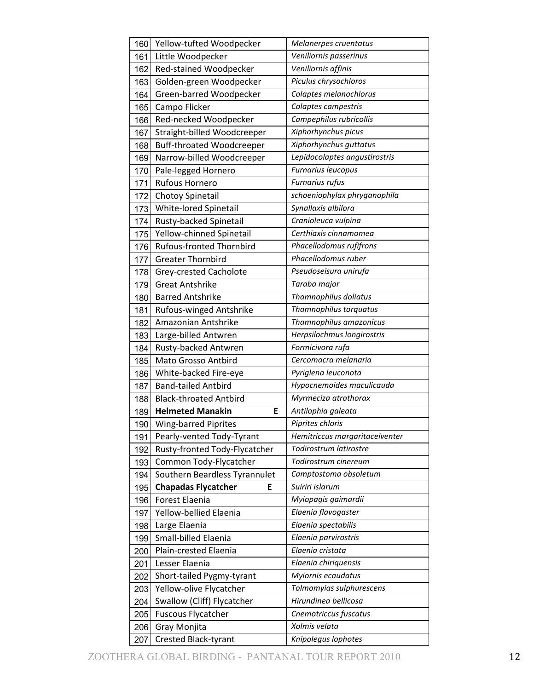| 160 | Yellow-tufted Woodpecker         | Melanerpes cruentatus          |
|-----|----------------------------------|--------------------------------|
| 161 | Little Woodpecker                | Veniliornis passerinus         |
| 162 | Red-stained Woodpecker           | Veniliornis affinis            |
| 163 | Golden-green Woodpecker          | Piculus chrysochloros          |
| 164 | Green-barred Woodpecker          | Colaptes melanochlorus         |
| 165 | Campo Flicker                    | Colaptes campestris            |
| 166 | Red-necked Woodpecker            | Campephilus rubricollis        |
| 167 | Straight-billed Woodcreeper      | Xiphorhynchus picus            |
| 168 | <b>Buff-throated Woodcreeper</b> | Xiphorhynchus guttatus         |
| 169 | Narrow-billed Woodcreeper        | Lepidocolaptes angustirostris  |
| 170 | Pale-legged Hornero              | Furnarius leucopus             |
| 171 | Rufous Hornero                   | <b>Furnarius rufus</b>         |
| 172 | Chotoy Spinetail                 | schoeniophylax phryganophila   |
| 173 | White-lored Spinetail            | Synallaxis albilora            |
| 174 | Rusty-backed Spinetail           | Cranioleuca vulpina            |
| 175 | Yellow-chinned Spinetail         | Certhiaxis cinnamomea          |
| 176 | <b>Rufous-fronted Thornbird</b>  | Phacellodomus rufifrons        |
| 177 | <b>Greater Thornbird</b>         | Phacellodomus ruber            |
| 178 | Grey-crested Cacholote           | Pseudoseisura unirufa          |
| 179 | <b>Great Antshrike</b>           | Taraba major                   |
| 180 | <b>Barred Antshrike</b>          | Thamnophilus doliatus          |
| 181 | Rufous-winged Antshrike          | Thamnophilus torquatus         |
| 182 | Amazonian Antshrike              | Thamnophilus amazonicus        |
| 183 | Large-billed Antwren             | Herpsilochmus longirostris     |
| 184 | Rusty-backed Antwren             | Formicivora rufa               |
| 185 | Mato Grosso Antbird              | Cercomacra melanaria           |
| 186 | White-backed Fire-eye            | Pyriglena leuconota            |
| 187 | <b>Band-tailed Antbird</b>       | Hypocnemoides maculicauda      |
| 188 | <b>Black-throated Antbird</b>    | Myrmeciza atrothorax           |
| 189 | <b>Helmeted Manakin</b><br>E     | Antilophia galeata             |
| 190 | <b>Wing-barred Piprites</b>      | Piprites chloris               |
| 191 | Pearly-vented Tody-Tyrant        | Hemitriccus margaritaceiventer |
| 192 | Rusty-fronted Tody-Flycatcher    | Todirostrum latirostre         |
| 193 | Common Tody-Flycatcher           | Todirostrum cinereum           |
| 194 | Southern Beardless Tyrannulet    | Camptostoma obsoletum          |
| 195 | <b>Chapadas Flycatcher</b><br>Е  | Suiriri islarum                |
| 196 | Forest Elaenia                   | Myiopagis gaimardii            |
| 197 | Yellow-bellied Elaenia           | Elaenia flavogaster            |
| 198 | Large Elaenia                    | Elaenia spectabilis            |
| 199 | Small-billed Elaenia             | Elaenia parvirostris           |
| 200 | Plain-crested Elaenia            | Elaenia cristata               |
| 201 | Lesser Elaenia                   | Elaenia chiriquensis           |
| 202 | Short-tailed Pygmy-tyrant        | Myiornis ecaudatus             |
| 203 | Yellow-olive Flycatcher          | Tolmomyias sulphurescens       |
| 204 | Swallow (Cliff) Flycatcher       | Hirundinea bellicosa           |
| 205 | <b>Fuscous Flycatcher</b>        | Cnemotriccus fuscatus          |
| 206 | Gray Monjita                     | Xolmis velata                  |
| 207 | <b>Crested Black-tyrant</b>      | Knipolegus lophotes            |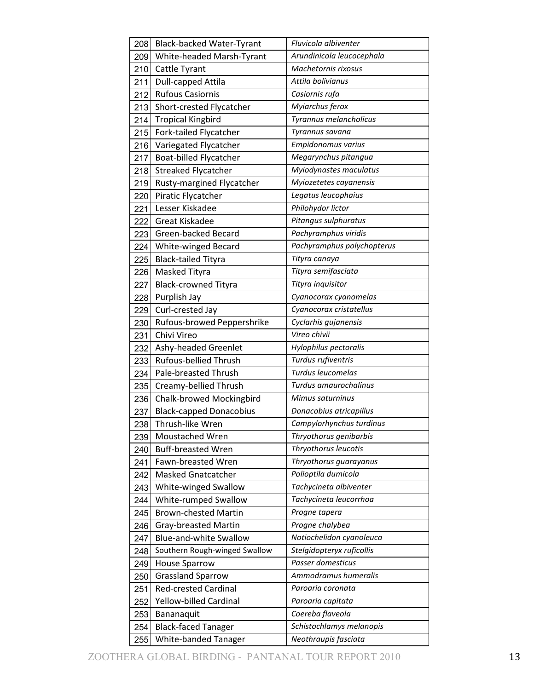| 208 | Black-backed Water-Tyrant      | Fluvicola albiventer       |
|-----|--------------------------------|----------------------------|
| 209 | White-headed Marsh-Tyrant      | Arundinicola leucocephala  |
| 210 | Cattle Tyrant                  | Machetornis rixosus        |
| 211 | <b>Dull-capped Attila</b>      | Attila bolivianus          |
| 212 | <b>Rufous Casiornis</b>        | Casiornis rufa             |
| 213 | Short-crested Flycatcher       | Myiarchus ferox            |
| 214 | <b>Tropical Kingbird</b>       | Tyrannus melancholicus     |
| 215 | Fork-tailed Flycatcher         | Tyrannus savana            |
| 216 | Variegated Flycatcher          | Empidonomus varius         |
| 217 | Boat-billed Flycatcher         | Megarynchus pitangua       |
| 218 | <b>Streaked Flycatcher</b>     | Myiodynastes maculatus     |
| 219 | Rusty-margined Flycatcher      | Myiozetetes cayanensis     |
| 220 | Piratic Flycatcher             | Legatus leucophaius        |
| 221 | Lesser Kiskadee                | Philohydor lictor          |
| 222 | Great Kiskadee                 | Pitangus sulphuratus       |
| 223 | Green-backed Becard            | Pachyramphus viridis       |
| 224 | White-winged Becard            | Pachyramphus polychopterus |
| 225 | <b>Black-tailed Tityra</b>     | Tityra canaya              |
| 226 | Masked Tityra                  | Tityra semifasciata        |
| 227 | <b>Black-crowned Tityra</b>    | Tityra inquisitor          |
| 228 | Purplish Jay                   | Cyanocorax cyanomelas      |
| 229 | Curl-crested Jay               | Cyanocorax cristatellus    |
| 230 | Rufous-browed Peppershrike     | Cyclarhis gujanensis       |
| 231 | Chivi Vireo                    | Vireo chivii               |
| 232 | Ashy-headed Greenlet           | Hylophilus pectoralis      |
| 233 | Rufous-bellied Thrush          | Turdus rufiventris         |
| 234 | Pale-breasted Thrush           | Turdus leucomelas          |
| 235 | Creamy-bellied Thrush          | Turdus amaurochalinus      |
| 236 | Chalk-browed Mockingbird       | Mimus saturninus           |
| 237 | <b>Black-capped Donacobius</b> | Donacobius atricapillus    |
| 238 | Thrush-like Wren               | Campylorhynchus turdinus   |
| 239 | Moustached Wren                | Thryothorus genibarbis     |
| 240 | <b>Buff-breasted Wren</b>      | Thryothorus leucotis       |
| 241 | Fawn-breasted Wren             | Thryothorus guarayanus     |
| 242 | <b>Masked Gnatcatcher</b>      | Polioptila dumicola        |
| 243 | White-winged Swallow           | Tachycineta albiventer     |
| 244 | White-rumped Swallow           | Tachycineta leucorrhoa     |
| 245 | <b>Brown-chested Martin</b>    | Progne tapera              |
| 246 | Gray-breasted Martin           | Progne chalybea            |
| 247 | <b>Blue-and-white Swallow</b>  | Notiochelidon cyanoleuca   |
| 248 | Southern Rough-winged Swallow  | Stelgidopteryx ruficollis  |
| 249 | <b>House Sparrow</b>           | Passer domesticus          |
| 250 | <b>Grassland Sparrow</b>       | Ammodramus humeralis       |
| 251 | <b>Red-crested Cardinal</b>    | Paroaria coronata          |
| 252 | Yellow-billed Cardinal         | Paroaria capitata          |
| 253 | Bananaquit                     | Coereba flaveola           |
| 254 | <b>Black-faced Tanager</b>     | Schistochlamys melanopis   |
| 255 | White-banded Tanager           | Neothraupis fasciata       |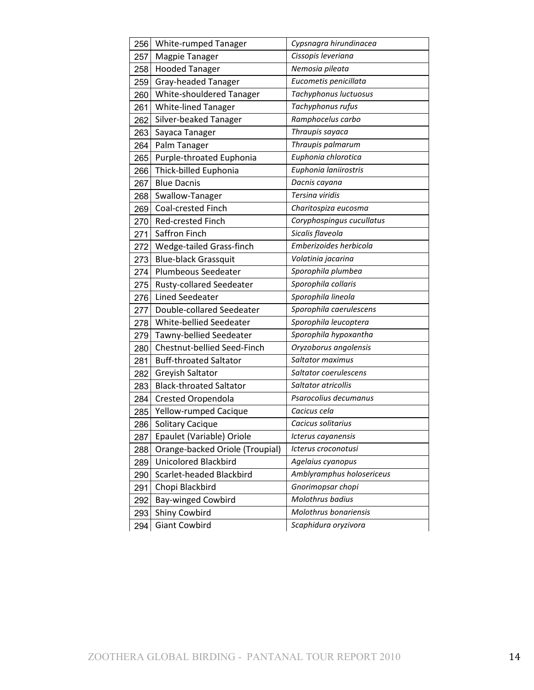| 256 | <b>White-rumped Tanager</b>     | Cypsnagra hirundinacea    |
|-----|---------------------------------|---------------------------|
| 257 | Magpie Tanager                  | Cissopis leveriana        |
| 258 | <b>Hooded Tanager</b>           | Nemosia pileata           |
| 259 | Gray-headed Tanager             | Eucometis penicillata     |
| 260 | White-shouldered Tanager        | Tachyphonus luctuosus     |
| 261 | White-lined Tanager             | Tachyphonus rufus         |
| 262 | Silver-beaked Tanager           | Ramphocelus carbo         |
| 263 | Sayaca Tanager                  | Thraupis sayaca           |
| 264 | Palm Tanager                    | Thraupis palmarum         |
| 265 | Purple-throated Euphonia        | Euphonia chlorotica       |
| 266 | Thick-billed Euphonia           | Euphonia laniirostris     |
| 267 | <b>Blue Dacnis</b>              | Dacnis cayana             |
| 268 | Swallow-Tanager                 | Tersina viridis           |
| 269 | Coal-crested Finch              | Charitospiza eucosma      |
| 270 | Red-crested Finch               | Coryphospingus cucullatus |
| 271 | Saffron Finch                   | Sicalis flaveola          |
| 272 | Wedge-tailed Grass-finch        | Emberizoides herbicola    |
| 273 | <b>Blue-black Grassquit</b>     | Volatinia jacarina        |
| 274 | Plumbeous Seedeater             | Sporophila plumbea        |
| 275 | <b>Rusty-collared Seedeater</b> | Sporophila collaris       |
| 276 | <b>Lined Seedeater</b>          | Sporophila lineola        |
| 277 | Double-collared Seedeater       | Sporophila caerulescens   |
| 278 | White-bellied Seedeater         | Sporophila leucoptera     |
| 279 | Tawny-bellied Seedeater         | Sporophila hypoxantha     |
| 280 | Chestnut-bellied Seed-Finch     | Oryzoborus angolensis     |
| 281 | <b>Buff-throated Saltator</b>   | Saltator maximus          |
| 282 | Greyish Saltator                | Saltator coerulescens     |
| 283 | <b>Black-throated Saltator</b>  | Saltator atricollis       |
| 284 | <b>Crested Oropendola</b>       | Psarocolius decumanus     |
| 285 | Yellow-rumped Cacique           | Cacicus cela              |
| 286 | Solitary Cacique                | Cacicus solitarius        |
| 287 | Epaulet (Variable) Oriole       | Icterus cayanensis        |
| 288 | Orange-backed Oriole (Troupial) | Icterus croconotusi       |
| 289 | <b>Unicolored Blackbird</b>     | Agelaius cyanopus         |
| 290 | Scarlet-headed Blackbird        | Amblyramphus holosericeus |
| 291 | Chopi Blackbird                 | Gnorimopsar chopi         |
| 292 | <b>Bay-winged Cowbird</b>       | Molothrus badius          |
| 293 | Shiny Cowbird                   | Molothrus bonariensis     |
| 294 | <b>Giant Cowbird</b>            | Scaphidura oryzivora      |